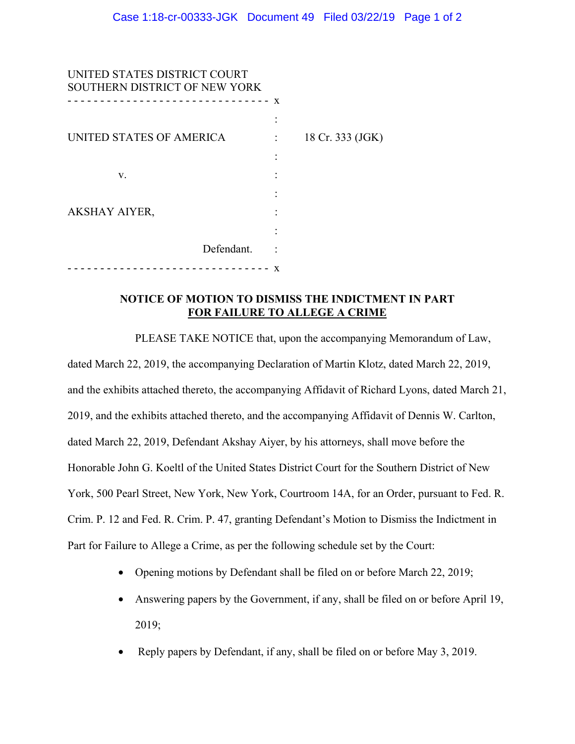| UNITED STATES DISTRICT COURT<br>SOUTHERN DISTRICT OF NEW YORK |            |   |                  |
|---------------------------------------------------------------|------------|---|------------------|
| -----------------------                                       |            | X |                  |
| UNITED STATES OF AMERICA                                      |            |   | 18 Cr. 333 (JGK) |
|                                                               |            |   |                  |
| V.                                                            |            |   |                  |
|                                                               |            |   |                  |
| <b>AKSHAY AIYER,</b>                                          |            |   |                  |
|                                                               |            |   |                  |
|                                                               | Defendant. |   |                  |
|                                                               |            | X |                  |

## **NOTICE OF MOTION TO DISMISS THE INDICTMENT IN PART FOR FAILURE TO ALLEGE A CRIME**

PLEASE TAKE NOTICE that, upon the accompanying Memorandum of Law, dated March 22, 2019, the accompanying Declaration of Martin Klotz, dated March 22, 2019, and the exhibits attached thereto, the accompanying Affidavit of Richard Lyons, dated March 21, 2019, and the exhibits attached thereto, and the accompanying Affidavit of Dennis W. Carlton, dated March 22, 2019, Defendant Akshay Aiyer, by his attorneys, shall move before the Honorable John G. Koeltl of the United States District Court for the Southern District of New York, 500 Pearl Street, New York, New York, Courtroom 14A, for an Order, pursuant to Fed. R. Crim. P. 12 and Fed. R. Crim. P. 47, granting Defendant's Motion to Dismiss the Indictment in Part for Failure to Allege a Crime, as per the following schedule set by the Court:

- Opening motions by Defendant shall be filed on or before March 22, 2019;
- Answering papers by the Government, if any, shall be filed on or before April 19, 2019;
- Reply papers by Defendant, if any, shall be filed on or before May 3, 2019.